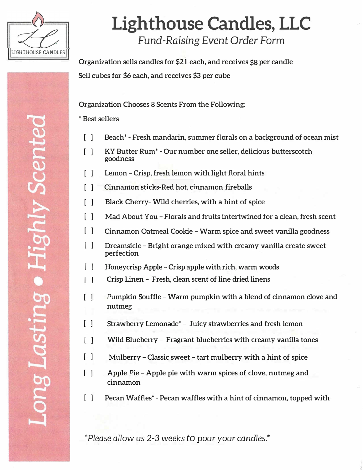

## **Lighthouse Candles, LLC**  *Fund-Raising Event* Order Form

**Organization sells candles for \$21 each, and receives \$8 per candle Sell cubes for \$6 each, and receives \$3 per cube** 

**Organization Chooses 8 Scents From the Following:** 

**\* Best sellers**

- **[ ] Beach\* - Fresh mandarin, summer florals on a background of ocean mist**
- **[ ] KY Butter Rum\* - Our number one seller, delicious butterscotch goodness**
- **[ ] Lemon -Crisp, fresh lemon with light floral hints**
- **[ 1 Cinnamon sticks-Red hot, cinnamon fireballs**
- $\lceil$   $\rceil$ **Black Cherry- Wild cherries, with a hint of spice**
- **[ ] Mad About You-Florals and fruits intertwined for a clean, fresh scent**
- **[ ] Cinnamon Oatmeal Cookie -Warm spice and sweet vanilla goodness**
- **[ ] Dreamsicle-Bright orange mixed with creamy vanilla create sweet perfection**
- **[ ] Honeycrisp Apple - Crisp apple with rich, warm woods**
- $\lceil$   $\rceil$ **Crisp Linen- Fresh, clean scent of line dried linens**
- $\Box$ **Pumpkin Souffle-Warm pumpkin with a blend of cinnamon clove and nutmeg**
- $\lceil$   $\rceil$ **Strawberry Lemonade\*- Juicy strawberries and fresh lemon**
- $\lceil$   $\rceil$ **Wild Blueberry- Fragrant blueberries with creamy vanilla tones**
- $\Box$ **Mulberry-Classic sweet-tart mulberry with a hint of spice**
- **Apple Pie-Apple pie with warm spices of clove, nutmeg and cinnamon [ ]**
- **[ ] Pecan Waffles\* - Pecan waffles with a hint of cinnamon, topped with**

**\*Please allow us** *2-3* **weeks** *to* **pour your** *candles.\**